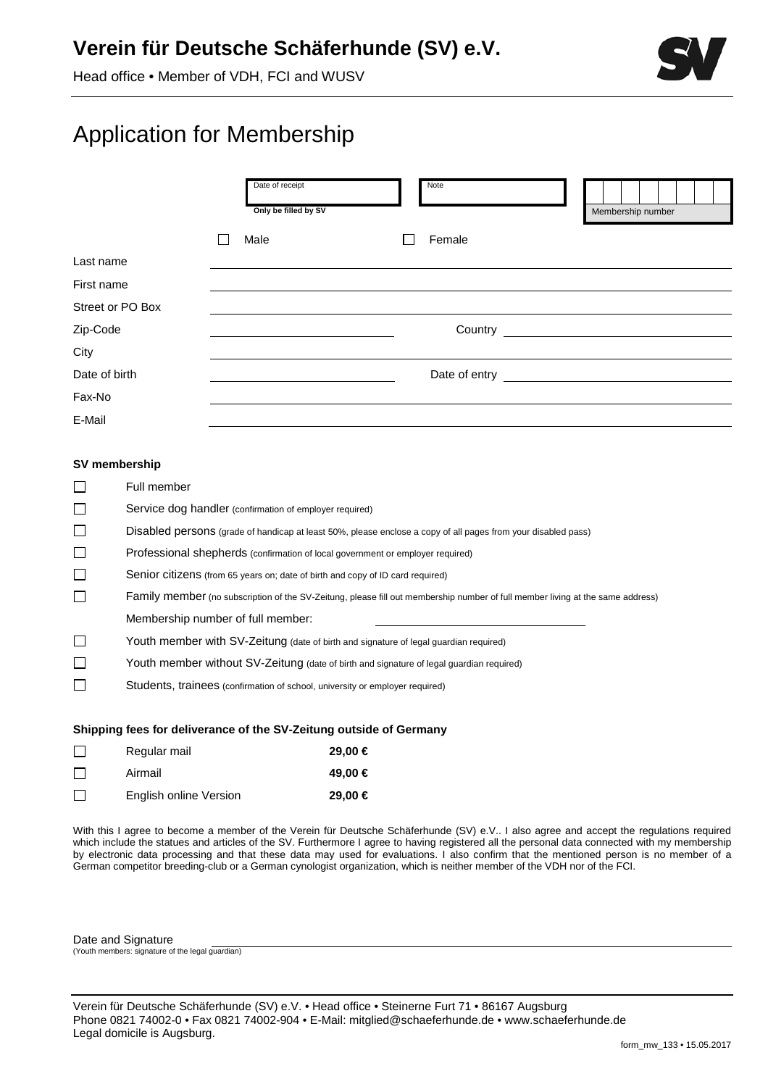## **Verein für Deutsche Schäferhunde (SV) e.V.**

Head office • Member of VDH, FCI and WUSV



# Application for Membership

|                  | Date of receipt<br>Only be filled by SV | Note    |  | Membership number |  |  |
|------------------|-----------------------------------------|---------|--|-------------------|--|--|
|                  | Male                                    | Female  |  |                   |  |  |
| Last name        |                                         |         |  |                   |  |  |
| First name       |                                         |         |  |                   |  |  |
| Street or PO Box |                                         |         |  |                   |  |  |
| Zip-Code         |                                         | Country |  |                   |  |  |
| City             |                                         |         |  |                   |  |  |
| Date of birth    |                                         |         |  |                   |  |  |
| Fax-No           |                                         |         |  |                   |  |  |
| E-Mail           |                                         |         |  |                   |  |  |

#### **SV membership**

| $\Box$ | Full member                                                                                                                    |
|--------|--------------------------------------------------------------------------------------------------------------------------------|
| $\Box$ | Service dog handler (confirmation of employer required)                                                                        |
| $\Box$ | Disabled persons (grade of handicap at least 50%, please enclose a copy of all pages from your disabled pass)                  |
| $\Box$ | Professional shepherds (confirmation of local government or employer required)                                                 |
| $\Box$ | Senior citizens (from 65 years on; date of birth and copy of ID card required)                                                 |
| $\Box$ | Family member (no subscription of the SV-Zeitung, please fill out membership number of full member living at the same address) |
|        | Membership number of full member:                                                                                              |
| $\Box$ | Youth member with SV-Zeitung (date of birth and signature of legal guardian required)                                          |
| $\Box$ | Youth member without SV-Zeitung (date of birth and signature of legal guardian required)                                       |
| $\Box$ | Students, trainees (confirmation of school, university or employer required)                                                   |
|        |                                                                                                                                |

#### **Shipping fees for deliverance of the SV-Zeitung outside of Germany**

|         | Regular mail           | $29.00 \in$ |
|---------|------------------------|-------------|
|         | Airmail                | 49.00 €     |
| $\perp$ | English online Version | 29,00 €     |

With this I agree to become a member of the Verein für Deutsche Schäferhunde (SV) e.V.. I also agree and accept the regulations required which include the statues and articles of the SV. Furthermore I agree to having registered all the personal data connected with my membership by electronic data processing and that these data may used for evaluations. I also confirm that the mentioned person is no member of a German competitor breeding-club or a German cynologist organization, which is neither member of the VDH nor of the FCI.

Date and Signature (Youth members: signature of the legal guardian)